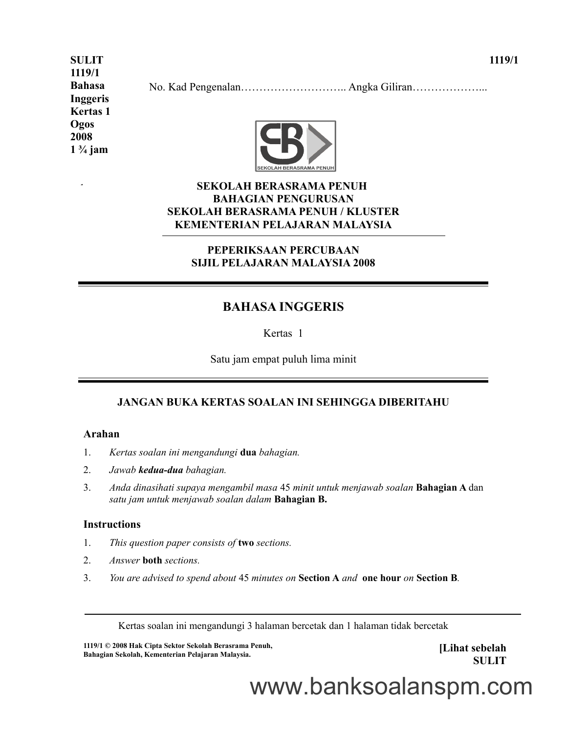**SULIT 1119/1 Bahasa Inggeris Kertas 1 Ogos 2008 1 ¾ jam**

 $\ddot{\phantom{1}}$ 

No. Kad Pengenalan……………………….. Angka Giliran………………...



#### **SEKOLAH BERASRAMA PENUH BAHAGIAN PENGURUSAN SEKOLAH BERASRAMA PENUH / KLUSTER KEMENTERIAN PELAJARAN MALAYSIA**

#### **PEPERIKSAAN PERCUBAAN SIJIL PELAJARAN MALAYSIA 2008**

# **BAHASA INGGERIS**

Kertas 1

Satu jam empat puluh lima minit

#### **JANGAN BUKA KERTAS SOALAN INI SEHINGGA DIBERITAHU**

#### **Arahan**

- 1. *Kertas soalan ini mengandungi* **dua** *bahagian.*
- 2. *Jawab kedua-dua bahagian.*
- 3. *Anda dinasihati supaya mengambil masa* 45 *minit untuk menjawab soalan* **Bahagian A** dan *satu jam untuk menjawab soalan dalam* **Bahagian B.**

#### **Instructions**

- 1. *This question paper consists of* **two** *sections.*
- 2. *Answer* **both** *sections.*
- 3. *You are advised to spend about* 45 *minutes on* **Section A** *and* **one hour** *on* **Section B***.*

Kertas soalan ini mengandungi 3 halaman bercetak dan 1 halaman tidak bercetak

**1119/1 © 2008 Hak Cipta Sektor Sekolah Berasrama Penuh, Bahagian Sekolah, Kementerian Pelajaran Malaysia.** 

**[Lihat sebelah SULIT**

www.banksoalanspm.com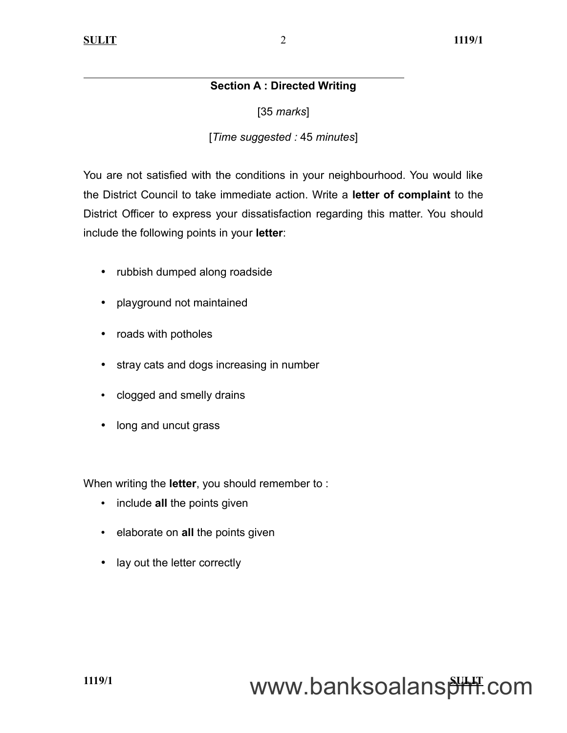## **Section A : Directed Writing**

[35 *marks*]

## [*Time suggested :* 45 *minutes*]

You are not satisfied with the conditions in your neighbourhood. You would like the District Council to take immediate action. Write a **letter of complaint** to the District Officer to express your dissatisfaction regarding this matter. You should include the following points in your **letter**:

- rubbish dumped along roadside
- playground not maintained
- roads with potholes
- stray cats and dogs increasing in number
- clogged and smelly drains
- long and uncut grass

When writing the **letter**, you should remember to :

- include **all** the points given
- elaborate on **all** the points given
- lay out the letter correctly